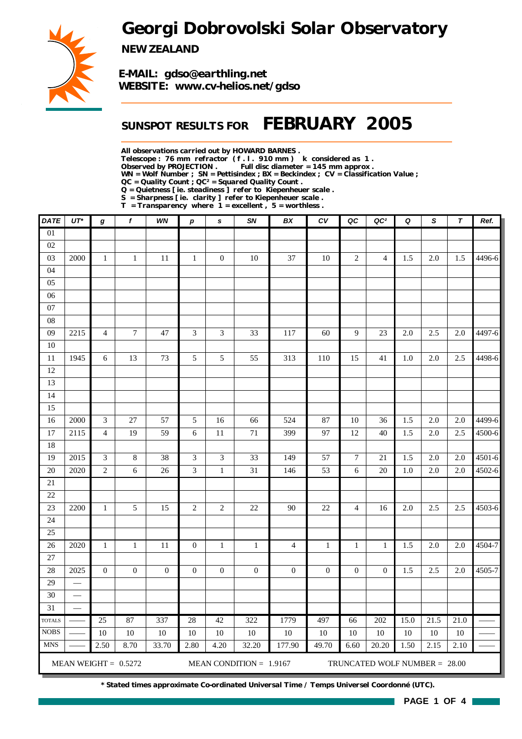*Georgi Dobrovolski Solar Observatory*



*NEW ZEALAND*

*E-MAIL: gdso@earthling.net WEBSITE: www.cv-helios.net/gdso*

## *SUNSPOT RESULTS FOR FEBRUARY 2005*

*All observations carried out by HOWARD BARNES .*

*Telescope : 76 mm refractor ( f . l . 910 mm ) k considered as 1 .*

Full disc diameter = 145 mm approx .

*WN = Wolf Number ; SN = Pettisindex ; BX = Beckindex ; CV = Classification Value ;*

*QC = Quality Count ; QC² = Squared Quality Count .*

*Q = Quietness [ ie. steadiness ] refer to Kiepenheuer scale .*

*S = Sharpness [ ie. clarity ] refer to Kiepenheuer scale . T = Transparency where 1 = excellent , 5 = worthless .*

| <b>DATE</b>     | $UT^*$ | g                           | f                      | WN               | $\boldsymbol{p}$ | $\mathbf s$                 | SN                        | BX               | CV               | QC               | QC <sup>2</sup>               | Q    | S                 | $\tau$ | Ref.       |
|-----------------|--------|-----------------------------|------------------------|------------------|------------------|-----------------------------|---------------------------|------------------|------------------|------------------|-------------------------------|------|-------------------|--------|------------|
| $\overline{01}$ |        |                             |                        |                  |                  |                             |                           |                  |                  |                  |                               |      |                   |        |            |
| 02              |        |                             |                        |                  |                  |                             |                           |                  |                  |                  |                               |      |                   |        |            |
| 03              | 2000   | $\mathbf{1}$                | $\mathbf{1}$           | 11               | $\mathbf{1}$     | $\boldsymbol{0}$            | 10                        | 37               | $10\,$           | $\overline{2}$   | $\overline{4}$                | 1.5  | 2.0               | 1.5    | 4496-6     |
| 04              |        |                             |                        |                  |                  |                             |                           |                  |                  |                  |                               |      |                   |        |            |
| 05              |        |                             |                        |                  |                  |                             |                           |                  |                  |                  |                               |      |                   |        |            |
| 06              |        |                             |                        |                  |                  |                             |                           |                  |                  |                  |                               |      |                   |        |            |
| $07\,$          |        |                             |                        |                  |                  |                             |                           |                  |                  |                  |                               |      |                   |        |            |
| ${\bf 08}$      |        |                             |                        |                  |                  |                             |                           |                  |                  |                  |                               |      |                   |        |            |
| 09              | 2215   | $\overline{4}$              | $\boldsymbol{7}$       | 47               | 3                | 3                           | 33                        | 117              | 60               | $\overline{9}$   | 23                            | 2.0  | 2.5               | 2.0    | 4497-6     |
| $10\,$          |        |                             |                        |                  |                  |                             |                           |                  |                  |                  |                               |      |                   |        |            |
| 11<br>12        | 1945   | 6                           | 13                     | 73               | 5                | 5                           | 55                        | 313              | 110              | 15               | 41                            | 1.0  | 2.0               | 2.5    | 4498-6     |
| 13              |        |                             |                        |                  |                  |                             |                           |                  |                  |                  |                               |      |                   |        |            |
| 14              |        |                             |                        |                  |                  |                             |                           |                  |                  |                  |                               |      |                   |        |            |
| 15              |        |                             |                        |                  |                  |                             |                           |                  |                  |                  |                               |      |                   |        |            |
| 16              | 2000   | $\mathfrak{Z}$              | $\overline{27}$        | 57               | 5                | 16                          | 66                        | 524              | 87               | $10\,$           | 36                            | 1.5  | 2.0               | 2.0    | 4499-6     |
| 17              | 2115   | $\overline{4}$              | 19                     | 59               | 6                | $11\,$                      | $71\,$                    | 399              | 97               | $12\,$           | 40                            | 1.5  | $2.0\,$           | 2.5    | 4500-6     |
| 18              |        |                             |                        |                  |                  |                             |                           |                  |                  |                  |                               |      |                   |        |            |
| 19              | 2015   | $\ensuremath{\mathfrak{Z}}$ | $8\,$                  | 38               | 3                | $\ensuremath{\mathfrak{Z}}$ | 33                        | 149              | 57               | $\boldsymbol{7}$ | 21                            | 1.5  | 2.0               | 2.0    | $4501 - 6$ |
| 20              | 2020   | $\sqrt{2}$                  | 6                      | 26               | 3                | $\,1$                       | 31                        | 146              | 53               | 6                | 20                            | 1.0  | 2.0               | 2.0    | 4502-6     |
| 21              |        |                             |                        |                  |                  |                             |                           |                  |                  |                  |                               |      |                   |        |            |
| $22\,$          |        |                             |                        |                  |                  |                             |                           |                  |                  |                  |                               |      |                   |        |            |
| 23              | 2200   | $\mathbf{1}$                | 5                      | 15               | $\overline{c}$   | $\overline{c}$              | 22                        | 90               | 22               | $\overline{4}$   | 16                            | 2.0  | 2.5               | 2.5    | 4503-6     |
| 24              |        |                             |                        |                  |                  |                             |                           |                  |                  |                  |                               |      |                   |        |            |
| 25              |        |                             |                        |                  |                  |                             |                           |                  |                  |                  |                               |      |                   |        |            |
| 26              | 2020   | $\mathbf{1}$                | $\mathbf{1}$           | $11\,$           | $\boldsymbol{0}$ | $\,1$                       | $\mathbf{1}$              | $\overline{4}$   | $\,1\,$          | $\mathbf{1}$     | $\mathbf{1}$                  | 1.5  | $2.0\,$           | 2.0    | 4504-7     |
| 27              |        |                             |                        |                  |                  |                             |                           |                  |                  |                  |                               |      |                   |        |            |
| 28              | 2025   | $\boldsymbol{0}$            | $\boldsymbol{0}$       | $\boldsymbol{0}$ | $\boldsymbol{0}$ | $\boldsymbol{0}$            | $\boldsymbol{0}$          | $\boldsymbol{0}$ | $\boldsymbol{0}$ | $\boldsymbol{0}$ | $\mathbf{0}$                  | 1.5  | 2.5               | 2.0    | 4505-7     |
| 29              | and a  |                             |                        |                  |                  |                             |                           |                  |                  |                  |                               |      |                   |        |            |
| 30              |        |                             |                        |                  |                  |                             |                           |                  |                  |                  |                               |      |                   |        |            |
| $\overline{31}$ |        |                             |                        |                  |                  |                             |                           |                  |                  |                  |                               |      |                   |        |            |
| <b>TOTALS</b>   |        | $\overline{25}$             | 87                     | 337              | 28               | 42                          | 322                       | 1779             | 497              | 66               | 202                           | 15.0 | $\overline{21.5}$ | 21.0   |            |
| <b>NOBS</b>     |        | 10                          | $10\,$                 | 10               | 10               | 10                          | $10\,$                    | 10               | 10               | 10               | 10                            | 10   | 10                | $10\,$ |            |
| <b>MNS</b>      |        | 2.50                        | 8.70                   | 33.70            | 2.80             | 4.20                        | 32.20                     | 177.90           | 49.70            | 6.60             | 20.20                         | 1.50 | 2.15              | 2.10   |            |
|                 |        |                             | MEAN WEIGHT = $0.5272$ |                  |                  |                             | MEAN CONDITION = $1.9167$ |                  |                  |                  | TRUNCATED WOLF NUMBER = 28.00 |      |                   |        |            |

*\* Stated times approximate Co-ordinated Universal Time / Temps Universel Coordonné (UTC).*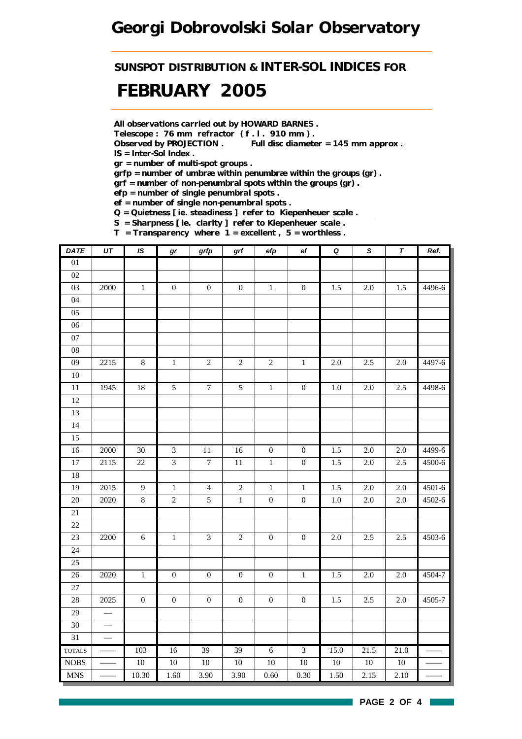# *Georgi Dobrovolski Solar Observatory*

*SUNSPOT DISTRIBUTION & INTER-SOL INDICES FOR*

# *FEBRUARY 2005*

*All observations carried out by HOWARD BARNES .*

*Telescope : 76 mm refractor ( f . l . 910 mm ) .*

*Observed by PROJECTION . Full disc diameter = 145 mm approx . IS = Inter-Sol Index .*

*gr = number of multi-spot groups .*

*grfp = number of umbræ within penumbræ within the groups (gr) .*

*grf = number of non-penumbral spots within the groups (gr) .*

*efp = number of single penumbral spots .*

*ef = number of single non-penumbral spots .*

*Q = Quietness [ ie. steadiness ] refer to Kiepenheuer scale .*

*S = Sharpness [ ie. clarity ] refer to Kiepenheuer scale . T = Transparency where 1 = excellent , 5 = worthless .*

| <b>DATE</b>                 | $\overline{UT}$          | IS               | $\bm{gr}$        | grfp                        | $\operatorname{\textsf{grf}}$ | efp              | $\mathsf{e} \mathsf{f}$ | $\pmb Q$         | ${\mathcal S}$ | $\pmb{\tau}$ | Ref.       |
|-----------------------------|--------------------------|------------------|------------------|-----------------------------|-------------------------------|------------------|-------------------------|------------------|----------------|--------------|------------|
| $\overline{01}$             |                          |                  |                  |                             |                               |                  |                         |                  |                |              |            |
| 02                          |                          |                  |                  |                             |                               |                  |                         |                  |                |              |            |
| $03\,$                      | $2000\,$                 | $\,1$            | $\boldsymbol{0}$ | $\boldsymbol{0}$            | $\boldsymbol{0}$              | $\,1\,$          | $\boldsymbol{0}$        | 1.5              | $2.0\,$        | 1.5          | 4496-6     |
| 04                          |                          |                  |                  |                             |                               |                  |                         |                  |                |              |            |
| 05                          |                          |                  |                  |                             |                               |                  |                         |                  |                |              |            |
| 06                          |                          |                  |                  |                             |                               |                  |                         |                  |                |              |            |
| 07                          |                          |                  |                  |                             |                               |                  |                         |                  |                |              |            |
| ${\bf 08}$                  |                          |                  |                  |                             |                               |                  |                         |                  |                |              |            |
| 09                          | 2215                     | $8\,$            | $\,1\,$          | $\sqrt{2}$                  | $\sqrt{2}$                    | $\sqrt{2}$       | $\,1\,$                 | $2.0\,$          | 2.5            | $2.0\,$      | 4497-6     |
| $10\,$                      |                          |                  |                  |                             |                               |                  |                         |                  |                |              |            |
| $\overline{11}$             | 1945                     | 18               | $\overline{5}$   | $\overline{7}$              | $\overline{5}$                | $\overline{1}$   | $\overline{0}$          | $\overline{1.0}$ | 2.0            | 2.5          | 4498-6     |
| 12                          |                          |                  |                  |                             |                               |                  |                         |                  |                |              |            |
| 13                          |                          |                  |                  |                             |                               |                  |                         |                  |                |              |            |
| 14                          |                          |                  |                  |                             |                               |                  |                         |                  |                |              |            |
| 15                          |                          |                  |                  |                             |                               |                  |                         |                  |                |              |            |
| 16                          | 2000                     | $30\,$           | $\mathfrak{Z}$   | 11                          | 16                            | $\boldsymbol{0}$ | $\boldsymbol{0}$        | 1.5              | 2.0            | 2.0          | 4499-6     |
| $\overline{17}$             | 2115                     | 22               | $\overline{3}$   | $\overline{7}$              | $11\,$                        | $\,1$            | $\boldsymbol{0}$        | $1.5\,$          | $2.0\,$        | $2.5\,$      | 4500-6     |
| 18                          |                          |                  |                  |                             |                               |                  |                         |                  |                |              |            |
| 19                          | 2015                     | $\overline{9}$   | $\,1$            | $\overline{4}$              | $\sqrt{2}$                    | $\,1\,$          | $\,1\,$                 | 1.5              | 2.0            | $2.0\,$      | $4501 - 6$ |
| 20                          | 2020                     | $\overline{8}$   | $\sqrt{2}$       | $\sqrt{5}$                  | $\mathbf{1}$                  | $\boldsymbol{0}$ | $\boldsymbol{0}$        | 1.0              | 2.0            | $2.0\,$      | 4502-6     |
| $21\,$                      |                          |                  |                  |                             |                               |                  |                         |                  |                |              |            |
| 22                          |                          |                  |                  |                             |                               |                  |                         |                  |                |              |            |
| 23                          | 2200                     | $\sqrt{6}$       | $\,1\,$          | $\ensuremath{\mathfrak{Z}}$ | $\sqrt{2}$                    | $\boldsymbol{0}$ | $\boldsymbol{0}$        | $2.0\,$          | 2.5            | $2.5$        | 4503-6     |
| 24                          |                          |                  |                  |                             |                               |                  |                         |                  |                |              |            |
| 25                          |                          |                  |                  |                             |                               |                  |                         |                  |                |              |            |
| $26\,$                      | 2020                     | $\,1$            | $\boldsymbol{0}$ | $\boldsymbol{0}$            | $\boldsymbol{0}$              | $\boldsymbol{0}$ | $\,1\,$                 | 1.5              | 2.0            | $2.0\,$      | 4504-7     |
| 27                          |                          |                  |                  |                             |                               |                  |                         |                  |                |              |            |
| 28                          | 2025                     | $\boldsymbol{0}$ | $\boldsymbol{0}$ | $\boldsymbol{0}$            | $\boldsymbol{0}$              | $\boldsymbol{0}$ | $\boldsymbol{0}$        | 1.5              | 2.5            | $2.0\,$      | 4505-7     |
| 29                          | $\overline{\phantom{0}}$ |                  |                  |                             |                               |                  |                         |                  |                |              |            |
| 30                          |                          |                  |                  |                             |                               |                  |                         |                  |                |              |            |
| 31                          |                          |                  |                  |                             |                               |                  |                         |                  |                |              |            |
| <b>TOTALS</b>               |                          | 103              | 16               | 39                          | 39                            | $\overline{6}$   | $\overline{3}$          | 15.0             | 21.5           | 21.0         |            |
| <b>NOBS</b>                 |                          | $10\,$           | $10\,$           | $10\,$                      | $10\,$                        | $10\,$           | $10\,$                  | $10\,$           | 10             | $10\,$       |            |
| $\ensuremath{\mathsf{MNS}}$ |                          | 10.30            | 1.60             | 3.90                        | 3.90                          | 0.60             | 0.30                    | 1.50             | 2.15           | 2.10         |            |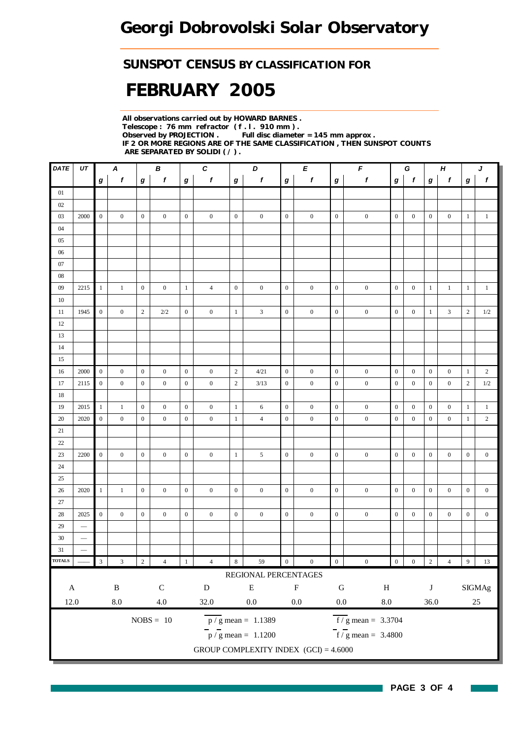## *SUNSPOT CENSUS BY CLASSIFICATION FOR*

# *FEBRUARY 2005*

*All observations carried out by HOWARD BARNES . Telescope : 76 mm refractor ( f . l . 910 mm ) . Full disc diameter = 145 mm approx . IF 2 OR MORE REGIONS ARE OF THE SAME CLASSIFICATION , THEN SUNSPOT COUNTS ARE SEPARATED BY SOLIDI ( / ) .*

| $\pmb{f}$<br>$\mathbf{1}$ |
|---------------------------|
|                           |
|                           |
|                           |
|                           |
|                           |
|                           |
|                           |
|                           |
|                           |
| $\mathbf{1}$              |
|                           |
| $1/2\,$                   |
|                           |
|                           |
|                           |
|                           |
| $\overline{2}$            |
| 1/2                       |
|                           |
| $\mathbf{1}$              |
| $\overline{2}$            |
|                           |
|                           |
| $\boldsymbol{0}$          |
|                           |
|                           |
| $\boldsymbol{0}$          |
|                           |
| $\boldsymbol{0}$          |
|                           |
|                           |
|                           |
| $13\,$                    |
|                           |
| $\rm{SIGMAg}$             |
| $25\,$                    |
|                           |
|                           |
|                           |
|                           |
| $\overline{9}$            |